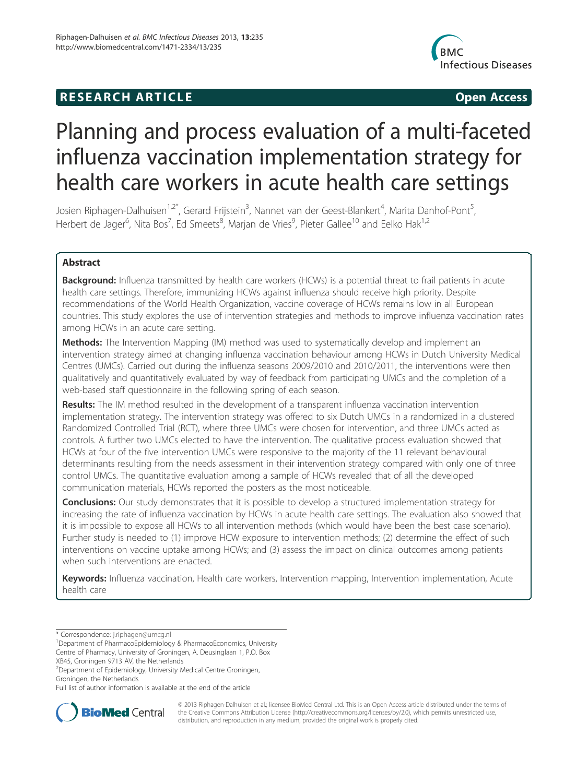# R E S EAR CH A R TIC L E Open Access



# Planning and process evaluation of a multi-faceted influenza vaccination implementation strategy for health care workers in acute health care settings

Josien Riphagen-Dalhuisen<sup>1,2\*</sup>, Gerard Frijstein<sup>3</sup>, Nannet van der Geest-Blankert<sup>4</sup>, Marita Danhof-Pont<sup>5</sup> , Herbert de Jager<sup>6</sup>, Nita Bos<sup>7</sup>, Ed Smeets<sup>8</sup>, Marjan de Vries<sup>9</sup>, Pieter Gallee<sup>10</sup> and Eelko Hak<sup>1,2</sup>

# Abstract

**Background:** Influenza transmitted by health care workers (HCWs) is a potential threat to frail patients in acute health care settings. Therefore, immunizing HCWs against influenza should receive high priority. Despite recommendations of the World Health Organization, vaccine coverage of HCWs remains low in all European countries. This study explores the use of intervention strategies and methods to improve influenza vaccination rates among HCWs in an acute care setting.

**Methods:** The Intervention Mapping (IM) method was used to systematically develop and implement an intervention strategy aimed at changing influenza vaccination behaviour among HCWs in Dutch University Medical Centres (UMCs). Carried out during the influenza seasons 2009/2010 and 2010/2011, the interventions were then qualitatively and quantitatively evaluated by way of feedback from participating UMCs and the completion of a web-based staff questionnaire in the following spring of each season.

Results: The IM method resulted in the development of a transparent influenza vaccination intervention implementation strategy. The intervention strategy was offered to six Dutch UMCs in a randomized in a clustered Randomized Controlled Trial (RCT), where three UMCs were chosen for intervention, and three UMCs acted as controls. A further two UMCs elected to have the intervention. The qualitative process evaluation showed that HCWs at four of the five intervention UMCs were responsive to the majority of the 11 relevant behavioural determinants resulting from the needs assessment in their intervention strategy compared with only one of three control UMCs. The quantitative evaluation among a sample of HCWs revealed that of all the developed communication materials, HCWs reported the posters as the most noticeable.

**Conclusions:** Our study demonstrates that it is possible to develop a structured implementation strategy for increasing the rate of influenza vaccination by HCWs in acute health care settings. The evaluation also showed that it is impossible to expose all HCWs to all intervention methods (which would have been the best case scenario). Further study is needed to (1) improve HCW exposure to intervention methods; (2) determine the effect of such interventions on vaccine uptake among HCWs; and (3) assess the impact on clinical outcomes among patients when such interventions are enacted.

Keywords: Influenza vaccination, Health care workers, Intervention mapping, Intervention implementation, Acute health care

\* Correspondence: j.riphagen@umcg.nl <sup>1</sup>

Centre of Pharmacy, University of Groningen, A. Deusinglaan 1, P.O. Box XB45, Groningen 9713 AV, the Netherlands

2 Department of Epidemiology, University Medical Centre Groningen, Groningen, the Netherlands

Full list of author information is available at the end of the article



© 2013 Riphagen-Dalhuisen et al.; licensee BioMed Central Ltd. This is an Open Access article distributed under the terms of the Creative Commons Attribution License (http://creativecommons.org/licenses/by/2.0), which permits unrestricted use, distribution, and reproduction in any medium, provided the original work is properly cited.

<sup>&</sup>lt;sup>1</sup>Department of PharmacoEpidemiology & PharmacoEconomics, University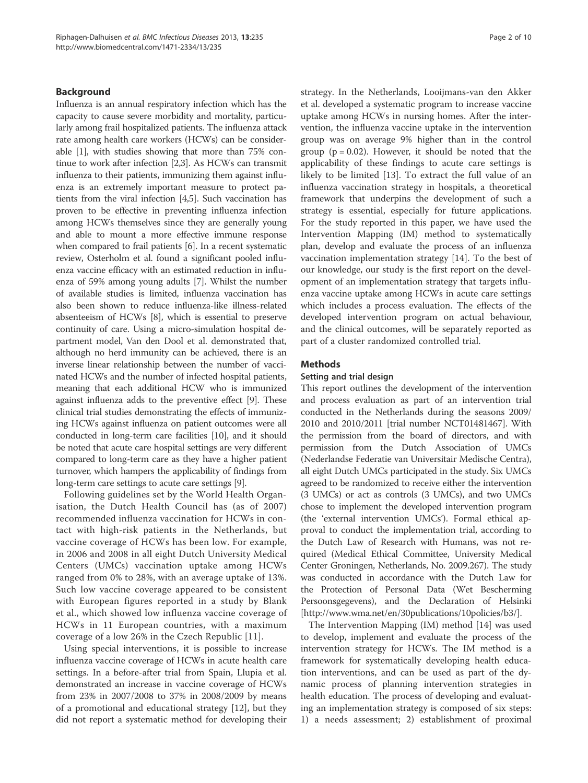# Background

Influenza is an annual respiratory infection which has the capacity to cause severe morbidity and mortality, particularly among frail hospitalized patients. The influenza attack rate among health care workers (HCWs) can be considerable [1], with studies showing that more than 75% continue to work after infection [2,3]. As HCWs can transmit influenza to their patients, immunizing them against influenza is an extremely important measure to protect patients from the viral infection [4,5]. Such vaccination has proven to be effective in preventing influenza infection among HCWs themselves since they are generally young and able to mount a more effective immune response when compared to frail patients [6]. In a recent systematic review, Osterholm et al. found a significant pooled influenza vaccine efficacy with an estimated reduction in influenza of 59% among young adults [7]. Whilst the number of available studies is limited, influenza vaccination has also been shown to reduce influenza-like illness-related absenteeism of HCWs [8], which is essential to preserve continuity of care. Using a micro-simulation hospital department model, Van den Dool et al. demonstrated that, although no herd immunity can be achieved, there is an inverse linear relationship between the number of vaccinated HCWs and the number of infected hospital patients, meaning that each additional HCW who is immunized against influenza adds to the preventive effect [9]. These clinical trial studies demonstrating the effects of immunizing HCWs against influenza on patient outcomes were all conducted in long-term care facilities [10], and it should be noted that acute care hospital settings are very different compared to long-term care as they have a higher patient turnover, which hampers the applicability of findings from long-term care settings to acute care settings [9].

Following guidelines set by the World Health Organisation, the Dutch Health Council has (as of 2007) recommended influenza vaccination for HCWs in contact with high-risk patients in the Netherlands, but vaccine coverage of HCWs has been low. For example, in 2006 and 2008 in all eight Dutch University Medical Centers (UMCs) vaccination uptake among HCWs ranged from 0% to 28%, with an average uptake of 13%. Such low vaccine coverage appeared to be consistent with European figures reported in a study by Blank et al., which showed low influenza vaccine coverage of HCWs in 11 European countries, with a maximum coverage of a low 26% in the Czech Republic [11].

Using special interventions, it is possible to increase influenza vaccine coverage of HCWs in acute health care settings. In a before-after trial from Spain, Llupia et al. demonstrated an increase in vaccine coverage of HCWs from 23% in 2007/2008 to 37% in 2008/2009 by means of a promotional and educational strategy [12], but they did not report a systematic method for developing their strategy. In the Netherlands, Looijmans-van den Akker et al. developed a systematic program to increase vaccine uptake among HCWs in nursing homes. After the intervention, the influenza vaccine uptake in the intervention group was on average 9% higher than in the control group  $(p = 0.02)$ . However, it should be noted that the applicability of these findings to acute care settings is likely to be limited [13]. To extract the full value of an influenza vaccination strategy in hospitals, a theoretical framework that underpins the development of such a strategy is essential, especially for future applications. For the study reported in this paper, we have used the Intervention Mapping (IM) method to systematically plan, develop and evaluate the process of an influenza vaccination implementation strategy [14]. To the best of our knowledge, our study is the first report on the development of an implementation strategy that targets influenza vaccine uptake among HCWs in acute care settings which includes a process evaluation. The effects of the developed intervention program on actual behaviour, and the clinical outcomes, will be separately reported as part of a cluster randomized controlled trial.

## Methods

# Setting and trial design

This report outlines the development of the intervention and process evaluation as part of an intervention trial conducted in the Netherlands during the seasons 2009/ 2010 and 2010/2011 [trial number NCT01481467]. With the permission from the board of directors, and with permission from the Dutch Association of UMCs (Nederlandse Federatie van Universitair Medische Centra), all eight Dutch UMCs participated in the study. Six UMCs agreed to be randomized to receive either the intervention (3 UMCs) or act as controls (3 UMCs), and two UMCs chose to implement the developed intervention program (the 'external intervention UMCs'). Formal ethical approval to conduct the implementation trial, according to the Dutch Law of Research with Humans, was not required (Medical Ethical Committee, University Medical Center Groningen, Netherlands, No. 2009.267). The study was conducted in accordance with the Dutch Law for the Protection of Personal Data (Wet Bescherming Persoonsgegevens), and the Declaration of Helsinki [http://www.wma.net/en/30publications/10policies/b3/].

The Intervention Mapping (IM) method [14] was used to develop, implement and evaluate the process of the intervention strategy for HCWs. The IM method is a framework for systematically developing health education interventions, and can be used as part of the dynamic process of planning intervention strategies in health education. The process of developing and evaluating an implementation strategy is composed of six steps: 1) a needs assessment; 2) establishment of proximal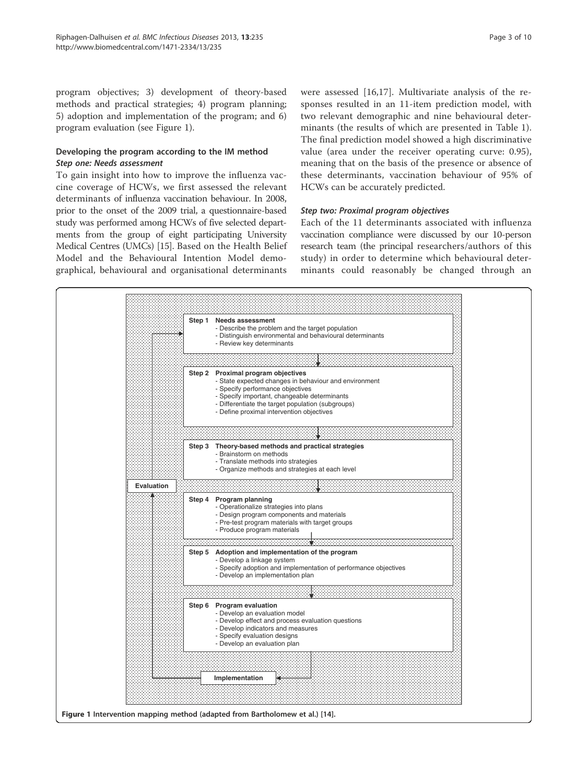program objectives; 3) development of theory-based methods and practical strategies; 4) program planning; 5) adoption and implementation of the program; and 6) program evaluation (see Figure 1).

# Developing the program according to the IM method Step one: Needs assessment

To gain insight into how to improve the influenza vaccine coverage of HCWs, we first assessed the relevant determinants of influenza vaccination behaviour. In 2008, prior to the onset of the 2009 trial, a questionnaire-based study was performed among HCWs of five selected departments from the group of eight participating University Medical Centres (UMCs) [15]. Based on the Health Belief Model and the Behavioural Intention Model demographical, behavioural and organisational determinants

were assessed [16,17]. Multivariate analysis of the responses resulted in an 11-item prediction model, with two relevant demographic and nine behavioural determinants (the results of which are presented in Table 1). The final prediction model showed a high discriminative value (area under the receiver operating curve: 0.95), meaning that on the basis of the presence or absence of these determinants, vaccination behaviour of 95% of HCWs can be accurately predicted.

# Step two: Proximal program objectives

Each of the 11 determinants associated with influenza vaccination compliance were discussed by our 10-person research team (the principal researchers/authors of this study) in order to determine which behavioural determinants could reasonably be changed through an

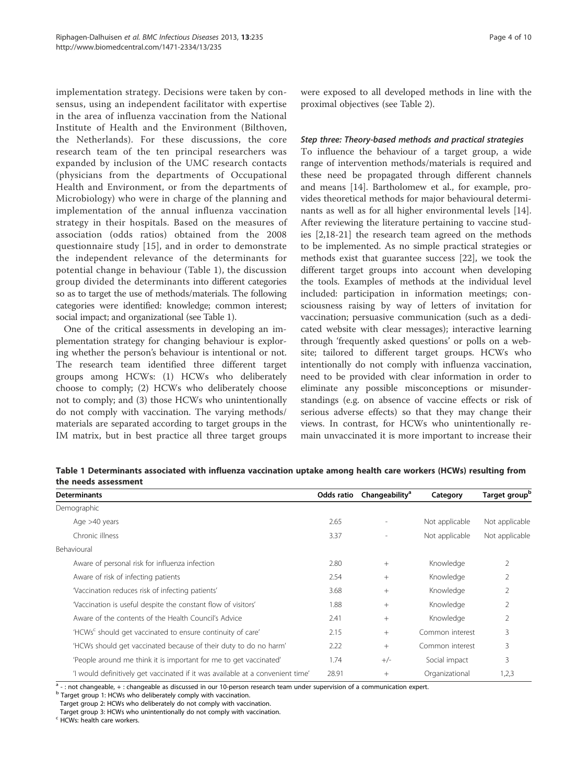implementation strategy. Decisions were taken by consensus, using an independent facilitator with expertise in the area of influenza vaccination from the National Institute of Health and the Environment (Bilthoven, the Netherlands). For these discussions, the core research team of the ten principal researchers was expanded by inclusion of the UMC research contacts (physicians from the departments of Occupational Health and Environment, or from the departments of Microbiology) who were in charge of the planning and implementation of the annual influenza vaccination strategy in their hospitals. Based on the measures of association (odds ratios) obtained from the 2008 questionnaire study [15], and in order to demonstrate the independent relevance of the determinants for potential change in behaviour (Table 1), the discussion group divided the determinants into different categories so as to target the use of methods/materials. The following categories were identified: knowledge; common interest; social impact; and organizational (see Table 1).

One of the critical assessments in developing an implementation strategy for changing behaviour is exploring whether the person's behaviour is intentional or not. The research team identified three different target groups among HCWs: (1) HCWs who deliberately choose to comply; (2) HCWs who deliberately choose not to comply; and (3) those HCWs who unintentionally do not comply with vaccination. The varying methods/ materials are separated according to target groups in the IM matrix, but in best practice all three target groups were exposed to all developed methods in line with the proximal objectives (see Table 2).

# Step three: Theory-based methods and practical strategies

To influence the behaviour of a target group, a wide range of intervention methods/materials is required and these need be propagated through different channels and means [14]. Bartholomew et al., for example, provides theoretical methods for major behavioural determinants as well as for all higher environmental levels [14]. After reviewing the literature pertaining to vaccine studies [2,18-21] the research team agreed on the methods to be implemented. As no simple practical strategies or methods exist that guarantee success [22], we took the different target groups into account when developing the tools. Examples of methods at the individual level included: participation in information meetings; consciousness raising by way of letters of invitation for vaccination; persuasive communication (such as a dedicated website with clear messages); interactive learning through 'frequently asked questions' or polls on a website; tailored to different target groups. HCWs who intentionally do not comply with influenza vaccination, need to be provided with clear information in order to eliminate any possible misconceptions or misunderstandings (e.g. on absence of vaccine effects or risk of serious adverse effects) so that they may change their views. In contrast, for HCWs who unintentionally remain unvaccinated it is more important to increase their

|                      | Table 1 Determinants associated with influenza vaccination uptake among health care workers (HCWs) resulting from |
|----------------------|-------------------------------------------------------------------------------------------------------------------|
| the needs assessment |                                                                                                                   |

| <b>Determinants</b>                                                            | Odds ratio | Changeability <sup>a</sup> | Category        | Target group <sup>b</sup> |
|--------------------------------------------------------------------------------|------------|----------------------------|-----------------|---------------------------|
| Demographic                                                                    |            |                            |                 |                           |
| Age $>40$ years                                                                | 2.65       |                            | Not applicable  | Not applicable            |
| Chronic illness                                                                | 3.37       |                            | Not applicable  | Not applicable            |
| <b>Behavioural</b>                                                             |            |                            |                 |                           |
| Aware of personal risk for influenza infection                                 | 2.80       | $^{+}$                     | Knowledge       | 2                         |
| Aware of risk of infecting patients                                            | 2.54       | $^{+}$                     | Knowledge       |                           |
| 'Vaccination reduces risk of infecting patients'                               | 3.68       | $^{+}$                     | Knowledge       | 2                         |
| "Vaccination is useful despite the constant flow of visitors"                  | 1.88       | $^{+}$                     | Knowledge       | 2                         |
| Aware of the contents of the Health Council's Advice                           | 2.41       | $^{+}$                     | Knowledge       | 2                         |
| 'HCWs <sup>c</sup> should get vaccinated to ensure continuity of care'         | 2.15       | $^{+}$                     | Common interest | 3                         |
| 'HCWs should get vaccinated because of their duty to do no harm'               | 2.22       | $+$                        | Common interest | 3                         |
| 'People around me think it is important for me to get vaccinated'              | 1.74       | $+/-$                      | Social impact   | 3                         |
| 'I would definitively get vaccinated if it was available at a convenient time' | 28.91      | $^{+}$                     | Organizational  | 1,2,3                     |

 $a$  - : not changeable,  $+$  : changeable as discussed in our 10-person research team under supervision of a communication expert.

<sup>b</sup> Target group 1: HCWs who deliberately comply with vaccination.

Target group 2: HCWs who deliberately do not comply with vaccination.

Target group 3: HCWs who unintentionally do not comply with vaccination.

<sup>c</sup> HCWs: health care workers.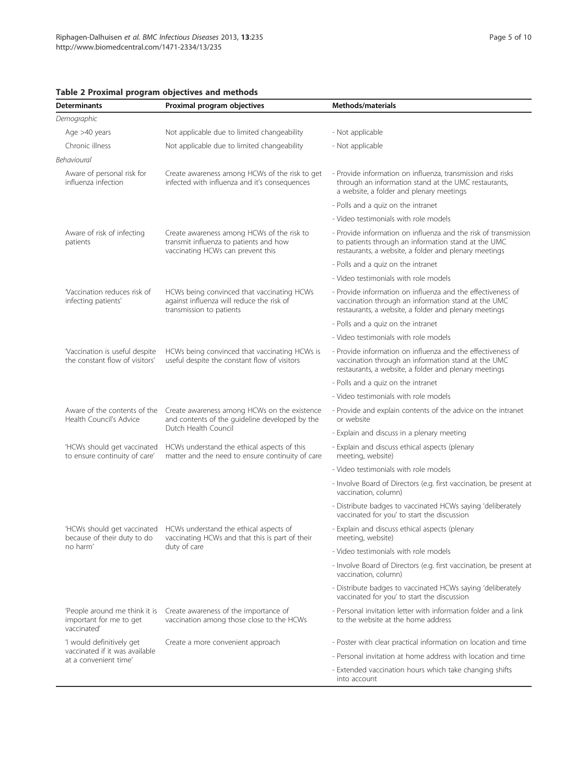# Table 2 Proximal program objectives and methods

| Determinants                                                                                                                                                                      | Proximal program objectives                                                                                                           | Methods/materials                                                                                                                                                               |
|-----------------------------------------------------------------------------------------------------------------------------------------------------------------------------------|---------------------------------------------------------------------------------------------------------------------------------------|---------------------------------------------------------------------------------------------------------------------------------------------------------------------------------|
| Demographic                                                                                                                                                                       |                                                                                                                                       |                                                                                                                                                                                 |
| Age >40 years                                                                                                                                                                     | Not applicable due to limited changeability                                                                                           | - Not applicable                                                                                                                                                                |
| Chronic illness                                                                                                                                                                   | Not applicable due to limited changeability                                                                                           | - Not applicable                                                                                                                                                                |
| Behavioural                                                                                                                                                                       |                                                                                                                                       |                                                                                                                                                                                 |
| Aware of personal risk for<br>influenza infection                                                                                                                                 | Create awareness among HCWs of the risk to get<br>infected with influenza and it's consequences                                       | - Provide information on influenza, transmission and risks<br>through an information stand at the UMC restaurants,<br>a website, a folder and plenary meetings                  |
|                                                                                                                                                                                   |                                                                                                                                       | - Polls and a quiz on the intranet                                                                                                                                              |
|                                                                                                                                                                                   |                                                                                                                                       | - Video testimonials with role models                                                                                                                                           |
| Aware of risk of infecting<br>patients                                                                                                                                            | Create awareness among HCWs of the risk to<br>transmit influenza to patients and how<br>vaccinating HCWs can prevent this             | - Provide information on influenza and the risk of transmission<br>to patients through an information stand at the UMC<br>restaurants, a website, a folder and plenary meetings |
|                                                                                                                                                                                   |                                                                                                                                       | - Polls and a quiz on the intranet                                                                                                                                              |
|                                                                                                                                                                                   |                                                                                                                                       | - Video testimonials with role models                                                                                                                                           |
| Vaccination reduces risk of<br>infecting patients'                                                                                                                                | HCWs being convinced that vaccinating HCWs<br>against influenza will reduce the risk of<br>transmission to patients                   | - Provide information on influenza and the effectiveness of<br>vaccination through an information stand at the UMC<br>restaurants, a website, a folder and plenary meetings     |
|                                                                                                                                                                                   |                                                                                                                                       | - Polls and a quiz on the intranet                                                                                                                                              |
|                                                                                                                                                                                   |                                                                                                                                       | - Video testimonials with role models                                                                                                                                           |
| Vaccination is useful despite<br>the constant flow of visitors'                                                                                                                   | HCWs being convinced that vaccinating HCWs is<br>useful despite the constant flow of visitors                                         | - Provide information on influenza and the effectiveness of<br>vaccination through an information stand at the UMC<br>restaurants, a website, a folder and plenary meetings     |
|                                                                                                                                                                                   |                                                                                                                                       | - Polls and a quiz on the intranet                                                                                                                                              |
|                                                                                                                                                                                   |                                                                                                                                       | - Video testimonials with role models                                                                                                                                           |
| Aware of the contents of the<br>Create awareness among HCWs on the existence<br>Health Council's Advice<br>and contents of the guideline developed by the<br>Dutch Health Council | - Provide and explain contents of the advice on the intranet<br>or website                                                            |                                                                                                                                                                                 |
|                                                                                                                                                                                   |                                                                                                                                       | - Explain and discuss in a plenary meeting                                                                                                                                      |
| 'HCWs should get vaccinated<br>to ensure continuity of care'                                                                                                                      | HCWs understand the ethical aspects of this<br>matter and the need to ensure continuity of care                                       | - Explain and discuss ethical aspects (plenary<br>meeting, website)                                                                                                             |
|                                                                                                                                                                                   |                                                                                                                                       | - Video testimonials with role models                                                                                                                                           |
|                                                                                                                                                                                   |                                                                                                                                       | - Involve Board of Directors (e.g. first vaccination, be present at<br>vaccination, column)                                                                                     |
|                                                                                                                                                                                   |                                                                                                                                       | - Distribute badges to vaccinated HCWs saying 'deliberately<br>vaccinated for you' to start the discussion                                                                      |
| because of their duty to do                                                                                                                                                       | 'HCWs should get vaccinated HCWs understand the ethical aspects of<br>vaccinating HCWs and that this is part of their<br>duty of care | - Explain and discuss ethical aspects (plenary<br>meeting, website)                                                                                                             |
| no harm'                                                                                                                                                                          |                                                                                                                                       | - Video testimonials with role models                                                                                                                                           |
|                                                                                                                                                                                   |                                                                                                                                       | - Involve Board of Directors (e.g. first vaccination, be present at<br>vaccination, column)                                                                                     |
|                                                                                                                                                                                   |                                                                                                                                       | - Distribute badges to vaccinated HCWs saying 'deliberately<br>vaccinated for you' to start the discussion                                                                      |
| 'People around me think it is<br>important for me to get<br>vaccinated'                                                                                                           | Create awareness of the importance of<br>vaccination among those close to the HCWs                                                    | - Personal invitation letter with information folder and a link<br>to the website at the home address                                                                           |
| 'I would definitively get                                                                                                                                                         | Create a more convenient approach                                                                                                     | - Poster with clear practical information on location and time                                                                                                                  |
| vaccinated if it was available<br>at a convenient time'                                                                                                                           |                                                                                                                                       | - Personal invitation at home address with location and time                                                                                                                    |
|                                                                                                                                                                                   |                                                                                                                                       | - Extended vaccination hours which take changing shifts<br>into account                                                                                                         |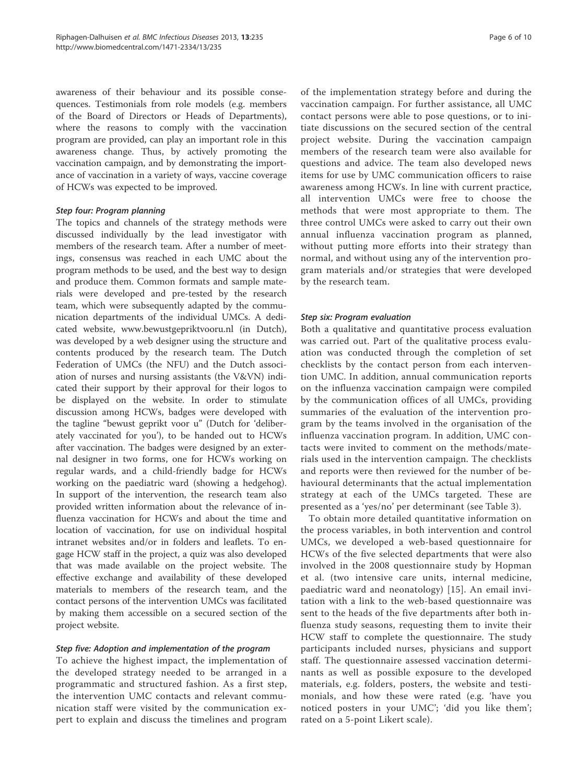awareness of their behaviour and its possible consequences. Testimonials from role models (e.g. members of the Board of Directors or Heads of Departments), where the reasons to comply with the vaccination program are provided, can play an important role in this awareness change. Thus, by actively promoting the vaccination campaign, and by demonstrating the importance of vaccination in a variety of ways, vaccine coverage of HCWs was expected to be improved.

# Step four: Program planning

The topics and channels of the strategy methods were discussed individually by the lead investigator with members of the research team. After a number of meetings, consensus was reached in each UMC about the program methods to be used, and the best way to design and produce them. Common formats and sample materials were developed and pre-tested by the research team, which were subsequently adapted by the communication departments of the individual UMCs. A dedicated website, www.bewustgepriktvooru.nl (in Dutch), was developed by a web designer using the structure and contents produced by the research team. The Dutch Federation of UMCs (the NFU) and the Dutch association of nurses and nursing assistants (the V&VN) indicated their support by their approval for their logos to be displayed on the website. In order to stimulate discussion among HCWs, badges were developed with the tagline "bewust geprikt voor u" (Dutch for 'deliberately vaccinated for you'), to be handed out to HCWs after vaccination. The badges were designed by an external designer in two forms, one for HCWs working on regular wards, and a child-friendly badge for HCWs working on the paediatric ward (showing a hedgehog). In support of the intervention, the research team also provided written information about the relevance of influenza vaccination for HCWs and about the time and location of vaccination, for use on individual hospital intranet websites and/or in folders and leaflets. To engage HCW staff in the project, a quiz was also developed that was made available on the project website. The effective exchange and availability of these developed materials to members of the research team, and the contact persons of the intervention UMCs was facilitated by making them accessible on a secured section of the project website.

# Step five: Adoption and implementation of the program

To achieve the highest impact, the implementation of the developed strategy needed to be arranged in a programmatic and structured fashion. As a first step, the intervention UMC contacts and relevant communication staff were visited by the communication expert to explain and discuss the timelines and program

of the implementation strategy before and during the vaccination campaign. For further assistance, all UMC contact persons were able to pose questions, or to initiate discussions on the secured section of the central project website. During the vaccination campaign members of the research team were also available for questions and advice. The team also developed news items for use by UMC communication officers to raise awareness among HCWs. In line with current practice, all intervention UMCs were free to choose the methods that were most appropriate to them. The three control UMCs were asked to carry out their own annual influenza vaccination program as planned, without putting more efforts into their strategy than normal, and without using any of the intervention program materials and/or strategies that were developed by the research team.

# Step six: Program evaluation

Both a qualitative and quantitative process evaluation was carried out. Part of the qualitative process evaluation was conducted through the completion of set checklists by the contact person from each intervention UMC. In addition, annual communication reports on the influenza vaccination campaign were compiled by the communication offices of all UMCs, providing summaries of the evaluation of the intervention program by the teams involved in the organisation of the influenza vaccination program. In addition, UMC contacts were invited to comment on the methods/materials used in the intervention campaign. The checklists and reports were then reviewed for the number of behavioural determinants that the actual implementation strategy at each of the UMCs targeted. These are presented as a 'yes/no' per determinant (see Table 3).

To obtain more detailed quantitative information on the process variables, in both intervention and control UMCs, we developed a web-based questionnaire for HCWs of the five selected departments that were also involved in the 2008 questionnaire study by Hopman et al. (two intensive care units, internal medicine, paediatric ward and neonatology) [15]. An email invitation with a link to the web-based questionnaire was sent to the heads of the five departments after both influenza study seasons, requesting them to invite their HCW staff to complete the questionnaire. The study participants included nurses, physicians and support staff. The questionnaire assessed vaccination determinants as well as possible exposure to the developed materials, e.g. folders, posters, the website and testimonials, and how these were rated (e.g. 'have you noticed posters in your UMC'; 'did you like them'; rated on a 5-point Likert scale).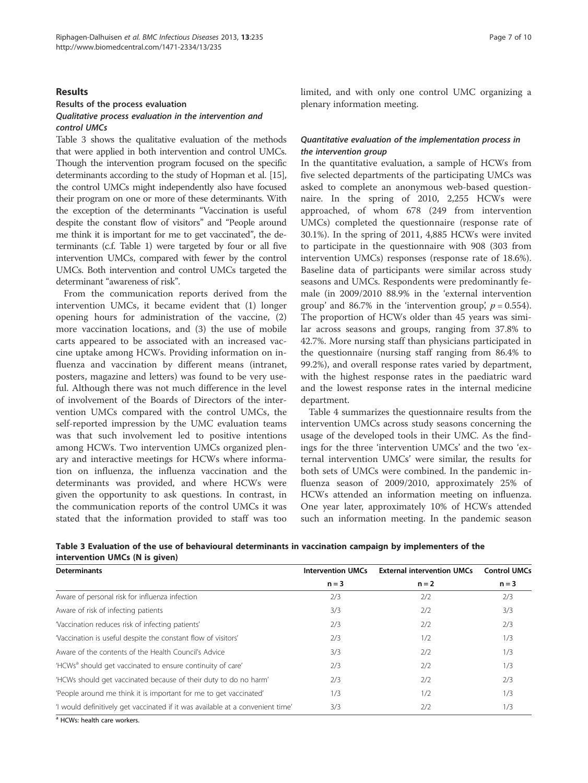## Results

# Results of the process evaluation Qualitative process evaluation in the intervention and control UMCs

Table 3 shows the qualitative evaluation of the methods that were applied in both intervention and control UMCs. Though the intervention program focused on the specific determinants according to the study of Hopman et al. [15], the control UMCs might independently also have focused their program on one or more of these determinants. With the exception of the determinants "Vaccination is useful despite the constant flow of visitors" and "People around me think it is important for me to get vaccinated", the determinants (c.f. Table 1) were targeted by four or all five intervention UMCs, compared with fewer by the control UMCs. Both intervention and control UMCs targeted the determinant "awareness of risk".

From the communication reports derived from the intervention UMCs, it became evident that (1) longer opening hours for administration of the vaccine, (2) more vaccination locations, and (3) the use of mobile carts appeared to be associated with an increased vaccine uptake among HCWs. Providing information on influenza and vaccination by different means (intranet, posters, magazine and letters) was found to be very useful. Although there was not much difference in the level of involvement of the Boards of Directors of the intervention UMCs compared with the control UMCs, the self-reported impression by the UMC evaluation teams was that such involvement led to positive intentions among HCWs. Two intervention UMCs organized plenary and interactive meetings for HCWs where information on influenza, the influenza vaccination and the determinants was provided, and where HCWs were given the opportunity to ask questions. In contrast, in the communication reports of the control UMCs it was stated that the information provided to staff was too limited, and with only one control UMC organizing a plenary information meeting.

# Quantitative evaluation of the implementation process in the intervention group

In the quantitative evaluation, a sample of HCWs from five selected departments of the participating UMCs was asked to complete an anonymous web-based questionnaire. In the spring of 2010, 2,255 HCWs were approached, of whom 678 (249 from intervention UMCs) completed the questionnaire (response rate of 30.1%). In the spring of 2011, 4,885 HCWs were invited to participate in the questionnaire with 908 (303 from intervention UMCs) responses (response rate of 18.6%). Baseline data of participants were similar across study seasons and UMCs. Respondents were predominantly female (in 2009/2010 88.9% in the 'external intervention group' and 86.7% in the 'intervention group',  $p = 0.554$ ). The proportion of HCWs older than 45 years was similar across seasons and groups, ranging from 37.8% to 42.7%. More nursing staff than physicians participated in the questionnaire (nursing staff ranging from 86.4% to 99.2%), and overall response rates varied by department, with the highest response rates in the paediatric ward and the lowest response rates in the internal medicine department.

Table 4 summarizes the questionnaire results from the intervention UMCs across study seasons concerning the usage of the developed tools in their UMC. As the findings for the three 'intervention UMCs' and the two 'external intervention UMCs' were similar, the results for both sets of UMCs were combined. In the pandemic influenza season of 2009/2010, approximately 25% of HCWs attended an information meeting on influenza. One year later, approximately 10% of HCWs attended such an information meeting. In the pandemic season

Table 3 Evaluation of the use of behavioural determinants in vaccination campaign by implementers of the intervention UMCs (N is given)

| <b>Determinants</b>                                                            | <b>Intervention UMCs</b> | <b>External intervention UMCs</b> | <b>Control UMCs</b> |
|--------------------------------------------------------------------------------|--------------------------|-----------------------------------|---------------------|
|                                                                                | $n = 3$                  | $n = 2$                           | $n = 3$             |
| Aware of personal risk for influenza infection                                 | 2/3                      | 2/2                               | 2/3                 |
| Aware of risk of infecting patients                                            | 3/3                      | 2/2                               | 3/3                 |
| 'Vaccination reduces risk of infecting patients'                               | 2/3                      | 2/2                               | 2/3                 |
| 'Vaccination is useful despite the constant flow of visitors'                  | 2/3                      | 1/2                               | 1/3                 |
| Aware of the contents of the Health Council's Advice                           | 3/3                      | 2/2                               | 1/3                 |
| 'HCWs <sup>a</sup> should get vaccinated to ensure continuity of care'         | 2/3                      | 2/2                               | 1/3                 |
| 'HCWs should get vaccinated because of their duty to do no harm'               | 2/3                      | 2/2                               | 2/3                 |
| 'People around me think it is important for me to get vaccinated'              | 1/3                      | 1/2                               | 1/3                 |
| 'I would definitively get vaccinated if it was available at a convenient time' | 3/3                      | 2/2                               | 1/3                 |

a HCWs: health care workers.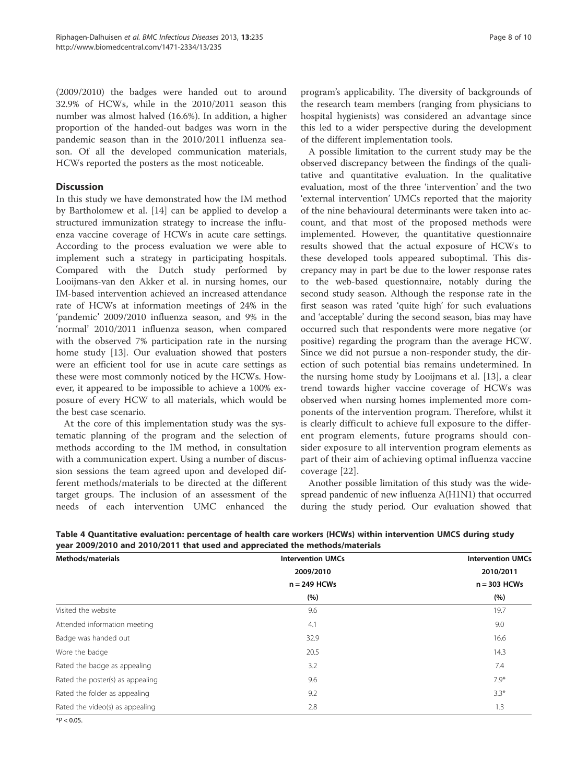(2009/2010) the badges were handed out to around 32.9% of HCWs, while in the 2010/2011 season this number was almost halved (16.6%). In addition, a higher proportion of the handed-out badges was worn in the pandemic season than in the 2010/2011 influenza season. Of all the developed communication materials, HCWs reported the posters as the most noticeable.

# **Discussion**

In this study we have demonstrated how the IM method by Bartholomew et al. [14] can be applied to develop a structured immunization strategy to increase the influenza vaccine coverage of HCWs in acute care settings. According to the process evaluation we were able to implement such a strategy in participating hospitals. Compared with the Dutch study performed by Looijmans-van den Akker et al. in nursing homes, our IM-based intervention achieved an increased attendance rate of HCWs at information meetings of 24% in the 'pandemic' 2009/2010 influenza season, and 9% in the 'normal' 2010/2011 influenza season, when compared with the observed 7% participation rate in the nursing home study [13]. Our evaluation showed that posters were an efficient tool for use in acute care settings as these were most commonly noticed by the HCWs. However, it appeared to be impossible to achieve a 100% exposure of every HCW to all materials, which would be the best case scenario.

At the core of this implementation study was the systematic planning of the program and the selection of methods according to the IM method, in consultation with a communication expert. Using a number of discussion sessions the team agreed upon and developed different methods/materials to be directed at the different target groups. The inclusion of an assessment of the needs of each intervention UMC enhanced the program's applicability. The diversity of backgrounds of the research team members (ranging from physicians to hospital hygienists) was considered an advantage since this led to a wider perspective during the development of the different implementation tools.

A possible limitation to the current study may be the observed discrepancy between the findings of the qualitative and quantitative evaluation. In the qualitative evaluation, most of the three 'intervention' and the two 'external intervention' UMCs reported that the majority of the nine behavioural determinants were taken into account, and that most of the proposed methods were implemented. However, the quantitative questionnaire results showed that the actual exposure of HCWs to these developed tools appeared suboptimal. This discrepancy may in part be due to the lower response rates to the web-based questionnaire, notably during the second study season. Although the response rate in the first season was rated 'quite high' for such evaluations and 'acceptable' during the second season, bias may have occurred such that respondents were more negative (or positive) regarding the program than the average HCW. Since we did not pursue a non-responder study, the direction of such potential bias remains undetermined. In the nursing home study by Looijmans et al. [13], a clear trend towards higher vaccine coverage of HCWs was observed when nursing homes implemented more components of the intervention program. Therefore, whilst it is clearly difficult to achieve full exposure to the different program elements, future programs should consider exposure to all intervention program elements as part of their aim of achieving optimal influenza vaccine coverage [22].

Another possible limitation of this study was the widespread pandemic of new influenza A(H1N1) that occurred during the study period. Our evaluation showed that

| Methods/materials                | <b>Intervention UMCs</b> | <b>Intervention UMCs</b><br>2010/2011<br>$n = 303$ HCWs |  |
|----------------------------------|--------------------------|---------------------------------------------------------|--|
|                                  | 2009/2010                |                                                         |  |
|                                  | $n = 249$ HCWs           |                                                         |  |
|                                  | (% )                     | (%)                                                     |  |
| Visited the website              | 9.6                      | 19.7                                                    |  |
| Attended information meeting     | 4.1                      | 9.0                                                     |  |
| Badge was handed out             | 32.9                     | 16.6                                                    |  |
| Wore the badge                   | 20.5                     | 14.3                                                    |  |
| Rated the badge as appealing     | 3.2                      | 7.4                                                     |  |
| Rated the poster(s) as appealing | 9.6                      | $7.9*$                                                  |  |
| Rated the folder as appealing    | 9.2                      | $3.3*$                                                  |  |
| Rated the video(s) as appealing  | 2.8                      | 1.3                                                     |  |
|                                  |                          |                                                         |  |

Table 4 Quantitative evaluation: percentage of health care workers (HCWs) within intervention UMCS during study year 2009/2010 and 2010/2011 that used and appreciated the methods/materials

 $*P < 0.05$ .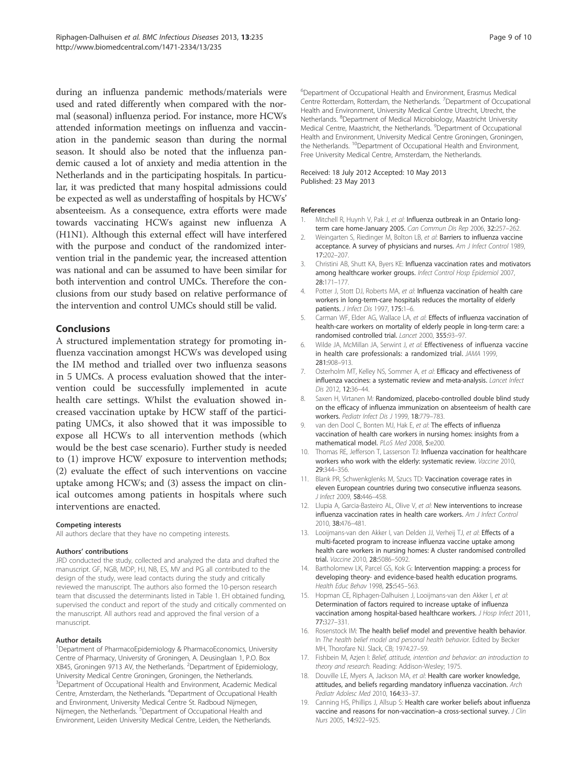during an influenza pandemic methods/materials were used and rated differently when compared with the normal (seasonal) influenza period. For instance, more HCWs attended information meetings on influenza and vaccination in the pandemic season than during the normal season. It should also be noted that the influenza pandemic caused a lot of anxiety and media attention in the Netherlands and in the participating hospitals. In particular, it was predicted that many hospital admissions could be expected as well as understaffing of hospitals by HCWs' absenteeism. As a consequence, extra efforts were made towards vaccinating HCWs against new influenza A (H1N1). Although this external effect will have interfered with the purpose and conduct of the randomized intervention trial in the pandemic year, the increased attention was national and can be assumed to have been similar for both intervention and control UMCs. Therefore the conclusions from our study based on relative performance of the intervention and control UMCs should still be valid.

# Conclusions

A structured implementation strategy for promoting influenza vaccination amongst HCWs was developed using the IM method and trialled over two influenza seasons in 5 UMCs. A process evaluation showed that the intervention could be successfully implemented in acute health care settings. Whilst the evaluation showed increased vaccination uptake by HCW staff of the participating UMCs, it also showed that it was impossible to expose all HCWs to all intervention methods (which would be the best case scenario). Further study is needed to (1) improve HCW exposure to intervention methods; (2) evaluate the effect of such interventions on vaccine uptake among HCWs; and (3) assess the impact on clinical outcomes among patients in hospitals where such interventions are enacted.

#### Competing interests

All authors declare that they have no competing interests.

#### Authors' contributions

JRD conducted the study, collected and analyzed the data and drafted the manuscript. GF, NGB, MDP, HJ, NB, ES, MV and PG all contributed to the design of the study, were lead contacts during the study and critically reviewed the manuscript. The authors also formed the 10-person research team that discussed the determinants listed in Table 1. EH obtained funding, supervised the conduct and report of the study and critically commented on the manuscript. All authors read and approved the final version of a manuscript.

#### Author details

<sup>1</sup>Department of PharmacoEpidemiology & PharmacoEconomics, University Centre of Pharmacy, University of Groningen, A. Deusinglaan 1, P.O. Box XB45, Groningen 9713 AV, the Netherlands. <sup>2</sup>Department of Epidemiology, University Medical Centre Groningen, Groningen, the Netherlands. <sup>3</sup>Department of Occupational Health and Environment, Academic Medical Centre, Amsterdam, the Netherlands. <sup>4</sup>Department of Occupational Health and Environment, University Medical Centre St. Radboud Nijmegen, Nijmegen, the Netherlands. <sup>5</sup>Department of Occupational Health and Environment, Leiden University Medical Centre, Leiden, the Netherlands.

6 Department of Occupational Health and Environment, Erasmus Medical Centre Rotterdam, Rotterdam, the Netherlands. <sup>7</sup>Department of Occupational Health and Environment, University Medical Centre Utrecht, Utrecht, the Netherlands. <sup>8</sup>Department of Medical Microbiology, Maastricht University Medical Centre, Maastricht, the Netherlands. <sup>9</sup>Department of Occupational Health and Environment, University Medical Centre Groningen, Groningen, the Netherlands.<sup>10</sup>Department of Occupational Health and Environment, Free University Medical Centre, Amsterdam, the Netherlands.

#### Received: 18 July 2012 Accepted: 10 May 2013 Published: 23 May 2013

#### References

- 1. Mitchell R, Huynh V, Pak J, et al: Influenza outbreak in an Ontario longterm care home-January 2005. Can Commun Dis Rep 2006, 32:257–262.
- 2. Weingarten S, Riedinger M, Bolton LB, et al: Barriers to influenza vaccine acceptance. A survey of physicians and nurses. Am J Infect Control 1989, 17:202–207.
- 3. Christini AB, Shutt KA, Byers KE: Influenza vaccination rates and motivators among healthcare worker groups. Infect Control Hosp Epidemiol 2007, 28:171–177.
- 4. Potter J, Stott DJ, Roberts MA, et al: Influenza vaccination of health care workers in long-term-care hospitals reduces the mortality of elderly patients. J Infect Dis 1997, 175:1–6.
- Carman WF, Elder AG, Wallace LA, et al: Effects of influenza vaccination of health-care workers on mortality of elderly people in long-term care: a randomised controlled trial. Lancet 2000, 355:93–97.
- 6. Wilde JA, McMillan JA, Serwint J, et al: Effectiveness of influenza vaccine in health care professionals: a randomized trial. JAMA 1999, 281:908–913.
- 7. Osterholm MT, Kelley NS, Sommer A, et al: Efficacy and effectiveness of influenza vaccines: a systematic review and meta-analysis. Lancet Infect Dis 2012, 12:36–44.
- 8. Saxen H, Virtanen M: Randomized, placebo-controlled double blind study on the efficacy of influenza immunization on absenteeism of health care workers. Pediatr Infect Dis J 1999, 18:779–783.
- 9. van den Dool C, Bonten MJ, Hak E, et al: The effects of influenza vaccination of health care workers in nursing homes: insights from a mathematical model. PLoS Med 2008, 5:e200.
- 10. Thomas RE, Jefferson T, Lasserson TJ: Influenza vaccination for healthcare workers who work with the elderly: systematic review. Vaccine 2010, 29:344–356.
- 11. Blank PR, Schwenkglenks M, Szucs TD: Vaccination coverage rates in eleven European countries during two consecutive influenza seasons. J Infect 2009, 58:446–458.
- 12. Llupia A, Garcia-Basteiro AL, Olive V, et al: New interventions to increase influenza vaccination rates in health care workers. Am J Infect Control 2010, 38:476–481.
- 13. Looijmans-van den Akker I, van Delden JJ, Verheij TJ, et al: Effects of a multi-faceted program to increase influenza vaccine uptake among health care workers in nursing homes: A cluster randomised controlled trial. Vaccine 2010, 28:5086–5092.
- 14. Bartholomew LK, Parcel GS, Kok G: Intervention mapping: a process for developing theory- and evidence-based health education programs. Health Educ Behav 1998, 25:545–563.
- 15. Hopman CE, Riphagen-Dalhuisen J, Looijmans-van den Akker I, et al: Determination of factors required to increase uptake of influenza vaccination among hospital-based healthcare workers. J Hosp Infect 2011, 77:327–331.
- 16. Rosenstock IM: The health belief model and preventive health behavior. In The health belief model and personal health behavior. Edited by Becker MH, Thorofare NJ. Slack, CB; 1974:27–59.
- 17. Fishbein M, Azjen I: Belief, attitude, intention and behavior: an introduction to theory and research. Reading: Addison-Wesley; 1975.
- 18. Douville LE, Myers A, Jackson MA, et al: Health care worker knowledge, attitudes, and beliefs regarding mandatory influenza vaccination. Arch Pediatr Adolesc Med 2010, 164:33–37.
- 19. Canning HS, Phillips J, Allsup S: Health care worker beliefs about influenza vaccine and reasons for non-vaccination–a cross-sectional survey. J Clin Nurs 2005, 14:922–925.